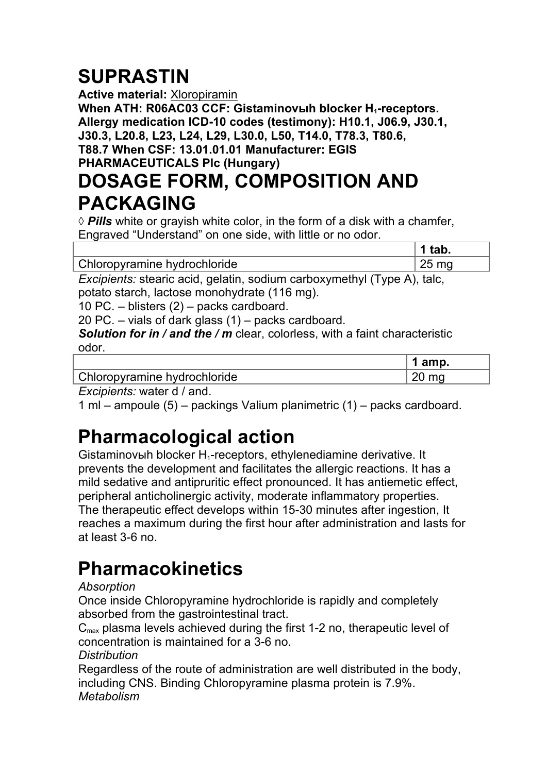# **SUPRASTIN**

**Active material:** Xloropiramin When ATH: R06AC03 ССF: Gistaminovыh blocker H<sub>1</sub>-receptors. **Allergy medication ICD-10 codes (testimony): H10.1, J06.9, J30.1, J30.3, L20.8, L23, L24, L29, L30.0, L50, T14.0, T78.3, T80.6, T88.7 When CSF: 13.01.01.01 Manufacturer: EGIS PHARMACEUTICALS Plc (Hungary)**

#### **DOSAGE FORM, COMPOSITION AND PACKAGING**

◊ *Pills* white or grayish white color, in the form of a disk with a chamfer, Engraved "Understand" on one side, with little or no odor.

| Chloropyramine hydrochloride |  |
|------------------------------|--|

**1 amp.**

*Excipients:* stearic acid, gelatin, sodium carboxymethyl (Type A), talc, potato starch, lactose monohydrate (116 mg).

10 PC. – blisters (2) – packs cardboard.

20 PC. – vials of dark glass (1) – packs cardboard.

**Solution for in / and the / m** clear, colorless, with a faint characteristic odor.

Chloropyramine hydrochloride 20 mg

*Excipients:* water d / and.

1 ml – ampoule (5) – packings Valium planimetric (1) – packs cardboard.

# **Pharmacological action**

Gistaminovыh blocker  $H_1$ -receptors, ethylenediamine derivative. It prevents the development and facilitates the allergic reactions. It has a mild sedative and antipruritic effect pronounced. It has antiemetic effect, peripheral anticholinergic activity, moderate inflammatory properties. The therapeutic effect develops within 15-30 minutes after ingestion, It reaches a maximum during the first hour after administration and lasts for at least 3-6 no.

# **Pharmacokinetics**

*Absorption*

Once inside Chloropyramine hydrochloride is rapidly and completely absorbed from the gastrointestinal tract.

 $C<sub>max</sub>$  plasma levels achieved during the first 1-2 no, therapeutic level of concentration is maintained for a 3-6 no.

*Distribution*

Regardless of the route of administration are well distributed in the body, including CNS. Binding Chloropyramine plasma protein is 7.9%. *Metabolism*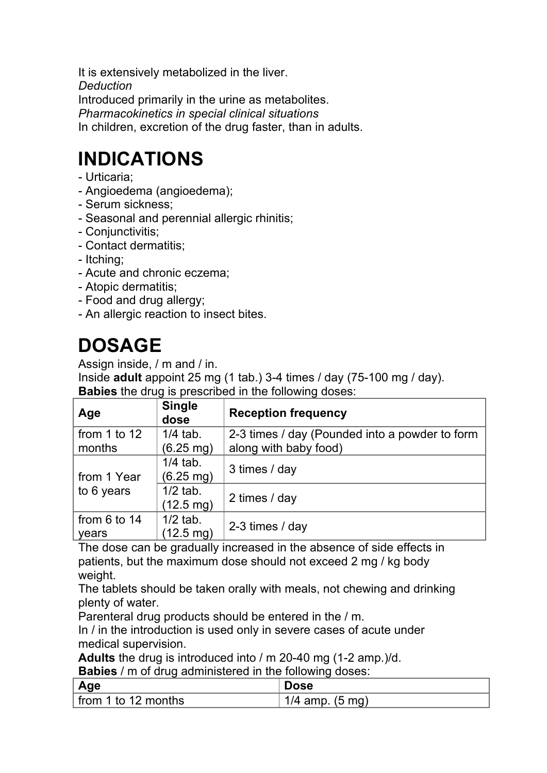It is extensively metabolized in the liver. *Deduction* Introduced primarily in the urine as metabolites. *Pharmacokinetics in special clinical situations* In children, excretion of the drug faster, than in adults.

# **INDICATIONS**

- Urticaria;
- Angioedema (angioedema);
- Serum sickness;
- Seasonal and perennial allergic rhinitis;
- Conjunctivitis;
- Contact dermatitis;
- Itching;
- Acute and chronic eczema;
- Atopic dermatitis;
- Food and drug allergy;
- An allergic reaction to insect bites.

# **DOSAGE**

Assign inside, / m and / in.

Inside **adult** appoint 25 mg (1 tab.) 3-4 times / day (75-100 mg / day). **Babies** the drug is prescribed in the following doses:

| Age                       | <b>Single</b><br>dose             | <b>Reception frequency</b>                                              |
|---------------------------|-----------------------------------|-------------------------------------------------------------------------|
| from 1 to $12$<br>months  | $1/4$ tab.<br>$(6.25 \text{ mg})$ | 2-3 times / day (Pounded into a powder to form<br>along with baby food) |
| from 1 Year               | $1/4$ tab.<br>$(6.25 \text{ mg})$ | 3 times / day                                                           |
| to 6 years                | $1/2$ tab.<br>$(12.5 \text{ mg})$ | 2 times / day                                                           |
| from $6$ to 14<br>  years | $1/2$ tab.<br>$(12.5 \text{ mg})$ | 2-3 times / day                                                         |

The dose can be gradually increased in the absence of side effects in patients, but the maximum dose should not exceed 2 mg / kg body weight.

The tablets should be taken orally with meals, not chewing and drinking plenty of water.

Parenteral drug products should be entered in the / m.

In / in the introduction is used only in severe cases of acute under medical supervision.

**Adults** the drug is introduced into / m 20-40 mg (1-2 amp.)/d.

**Babies** / m of drug administered in the following doses:

| Age                 | <b>Dose</b>                 |
|---------------------|-----------------------------|
| from 1 to 12 months | $1/4$ amp. $(5 \text{ mg})$ |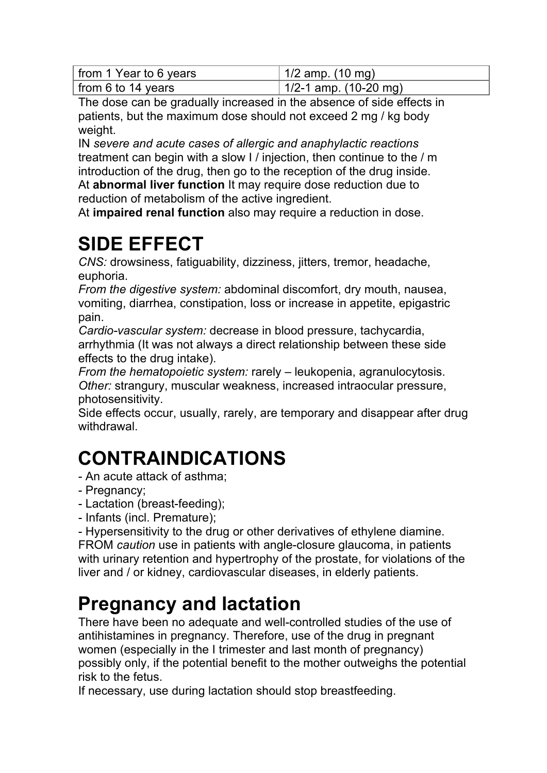| from 1 Year to 6 years | $1/2$ amp. (10 mg)       |
|------------------------|--------------------------|
| from 6 to 14 years     | $1/2$ -1 amp. (10-20 mg) |

The dose can be gradually increased in the absence of side effects in patients, but the maximum dose should not exceed 2 mg / kg body weight.

IN *severe and acute cases of allergic and anaphylactic reactions* treatment can begin with a slow I / injection, then continue to the / m introduction of the drug, then go to the reception of the drug inside.

At **abnormal liver function** It may require dose reduction due to reduction of metabolism of the active ingredient.

At **impaired renal function** also may require a reduction in dose.

#### **SIDE EFFECT**

*CNS:* drowsiness, fatiguability, dizziness, jitters, tremor, headache, euphoria.

*From the digestive system:* abdominal discomfort, dry mouth, nausea, vomiting, diarrhea, constipation, loss or increase in appetite, epigastric pain.

*Cardio-vascular system:* decrease in blood pressure, tachycardia, arrhythmia (It was not always a direct relationship between these side effects to the drug intake).

*From the hematopoietic system:* rarely – leukopenia, agranulocytosis. *Other:* strangury, muscular weakness, increased intraocular pressure, photosensitivity.

Side effects occur, usually, rarely, are temporary and disappear after drug withdrawal.

# **CONTRAINDICATIONS**

- An acute attack of asthma;
- Pregnancy;
- Lactation (breast-feeding);
- Infants (incl. Premature);

- Hypersensitivity to the drug or other derivatives of ethylene diamine. FROM *caution* use in patients with angle-closure glaucoma, in patients with urinary retention and hypertrophy of the prostate, for violations of the liver and / or kidney, cardiovascular diseases, in elderly patients.

#### **Pregnancy and lactation**

There have been no adequate and well-controlled studies of the use of antihistamines in pregnancy. Therefore, use of the drug in pregnant women (especially in the I trimester and last month of pregnancy) possibly only, if the potential benefit to the mother outweighs the potential risk to the fetus.

If necessary, use during lactation should stop breastfeeding.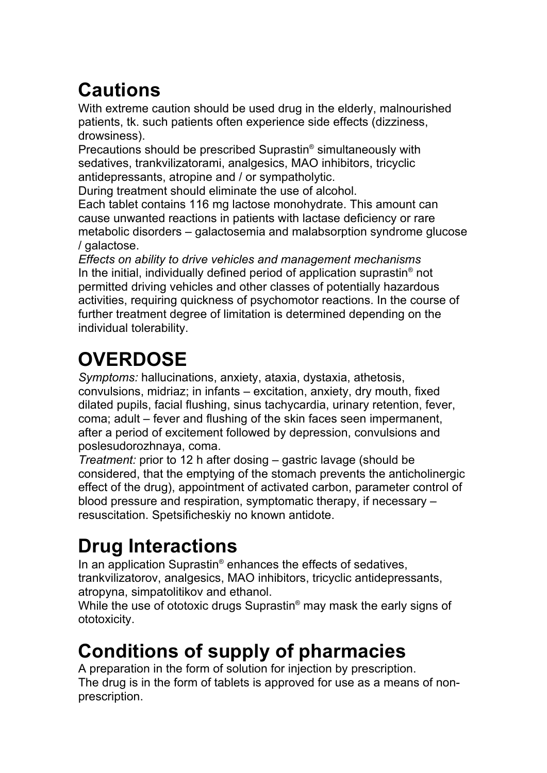#### **Cautions**

With extreme caution should be used drug in the elderly, malnourished patients, tk. such patients often experience side effects (dizziness, drowsiness).

Precautions should be prescribed Suprastin® simultaneously with sedatives, trankvilizatorami, analgesics, MAO inhibitors, tricyclic antidepressants, atropine and / or sympatholytic.

During treatment should eliminate the use of alcohol.

Each tablet contains 116 mg lactose monohydrate. This amount can cause unwanted reactions in patients with lactase deficiency or rare metabolic disorders – galactosemia and malabsorption syndrome glucose / galactose.

*Effects on ability to drive vehicles and management mechanisms* In the initial, individually defined period of application suprastin® not permitted driving vehicles and other classes of potentially hazardous activities, requiring quickness of psychomotor reactions. In the course of further treatment degree of limitation is determined depending on the individual tolerability.

# **OVERDOSE**

*Symptoms:* hallucinations, anxiety, ataxia, dystaxia, athetosis, convulsions, midriaz; in infants – excitation, anxiety, dry mouth, fixed dilated pupils, facial flushing, sinus tachycardia, urinary retention, fever, coma; adult – fever and flushing of the skin faces seen impermanent, after a period of excitement followed by depression, convulsions and poslesudorozhnaya, coma.

*Treatment:* prior to 12 h after dosing – gastric lavage (should be considered, that the emptying of the stomach prevents the anticholinergic effect of the drug), appointment of activated carbon, parameter control of blood pressure and respiration, symptomatic therapy, if necessary – resuscitation. Spetsificheskiy no known antidote.

# **Drug Interactions**

In an application Suprastin® enhances the effects of sedatives, trankvilizatorov, analgesics, MAO inhibitors, tricyclic antidepressants, atropyna, simpatolitikov and ethanol.

While the use of ototoxic drugs Suprastin® may mask the early signs of ototoxicity.

#### **Conditions of supply of pharmacies**

A preparation in the form of solution for injection by prescription. The drug is in the form of tablets is approved for use as a means of nonprescription.